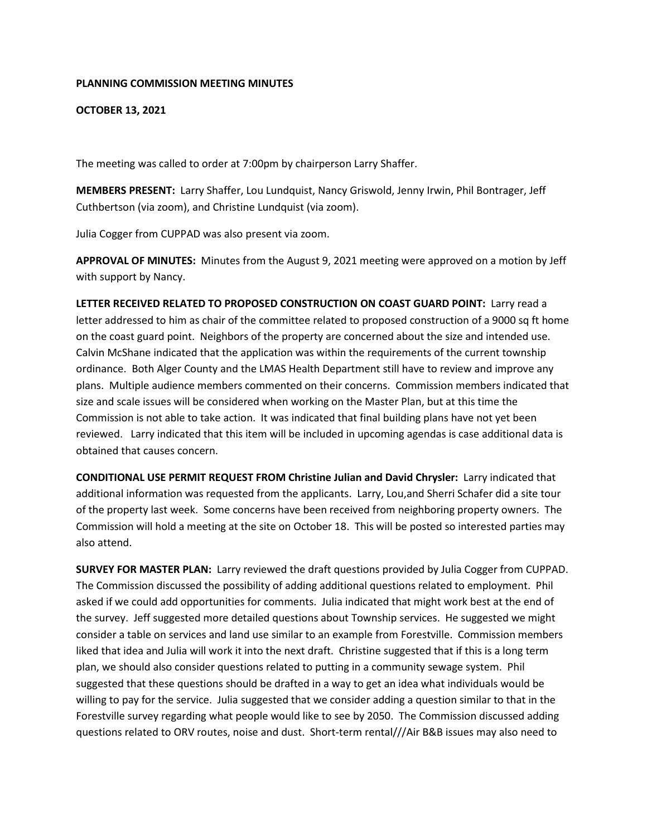## **PLANNING COMMISSION MEETING MINUTES**

**OCTOBER 13, 2021**

The meeting was called to order at 7:00pm by chairperson Larry Shaffer.

**MEMBERS PRESENT:** Larry Shaffer, Lou Lundquist, Nancy Griswold, Jenny Irwin, Phil Bontrager, Jeff Cuthbertson (via zoom), and Christine Lundquist (via zoom).

Julia Cogger from CUPPAD was also present via zoom.

**APPROVAL OF MINUTES:** Minutes from the August 9, 2021 meeting were approved on a motion by Jeff with support by Nancy.

**LETTER RECEIVED RELATED TO PROPOSED CONSTRUCTION ON COAST GUARD POINT:** Larry read a letter addressed to him as chair of the committee related to proposed construction of a 9000 sq ft home on the coast guard point. Neighbors of the property are concerned about the size and intended use. Calvin McShane indicated that the application was within the requirements of the current township ordinance. Both Alger County and the LMAS Health Department still have to review and improve any plans. Multiple audience members commented on their concerns. Commission members indicated that size and scale issues will be considered when working on the Master Plan, but at this time the Commission is not able to take action. It was indicated that final building plans have not yet been reviewed. Larry indicated that this item will be included in upcoming agendas is case additional data is obtained that causes concern.

**CONDITIONAL USE PERMIT REQUEST FROM Christine Julian and David Chrysler:** Larry indicated that additional information was requested from the applicants. Larry, Lou,and Sherri Schafer did a site tour of the property last week. Some concerns have been received from neighboring property owners. The Commission will hold a meeting at the site on October 18. This will be posted so interested parties may also attend.

**SURVEY FOR MASTER PLAN:** Larry reviewed the draft questions provided by Julia Cogger from CUPPAD. The Commission discussed the possibility of adding additional questions related to employment. Phil asked if we could add opportunities for comments. Julia indicated that might work best at the end of the survey. Jeff suggested more detailed questions about Township services. He suggested we might consider a table on services and land use similar to an example from Forestville. Commission members liked that idea and Julia will work it into the next draft. Christine suggested that if this is a long term plan, we should also consider questions related to putting in a community sewage system. Phil suggested that these questions should be drafted in a way to get an idea what individuals would be willing to pay for the service. Julia suggested that we consider adding a question similar to that in the Forestville survey regarding what people would like to see by 2050. The Commission discussed adding questions related to ORV routes, noise and dust. Short-term rental///Air B&B issues may also need to